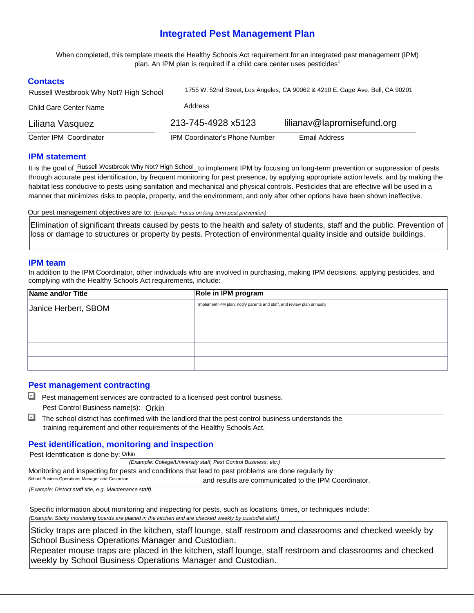# **Integrated Pest Management Plan**

 When completed, this template meets the Healthy Schools Act requirement for an integrated pest management (IPM) plan. An IPM plan is required if a child care center uses pesticides $^{\text{1}}$ 

### **Contacts**

| Russell Westbrook Why Not? High School | 1755 W. 52nd Street, Los Angeles, CA 90062 & 4210 E. Gage Ave. Bell, CA 90201 |                            |  |  |
|----------------------------------------|-------------------------------------------------------------------------------|----------------------------|--|--|
| Child Care Center Name                 | Address                                                                       |                            |  |  |
| Liliana Vasquez                        | 213-745-4928 x5123                                                            | lilianav@lapromisefund.org |  |  |
| Center IPM Coordinator                 | <b>IPM Coordinator's Phone Number</b>                                         | Email Address              |  |  |

#### **IPM statement**

It is the goal of **Russell Westbrook Why Not? High School** to implement IPM by focusing on long-term prevention or suppression of pests through accurate pest identification, by frequent monitoring for pest presence, by applying appropriate action levels, and by making the habitat less conducive to pests using sanitation and mechanical and physical controls. Pesticides that are effective will be used in a manner that minimizes risks to people, property, and the environment, and only after other options have been shown ineffective.

Our pest management objectives are to: *(Example: Focus on long-term pest prevention)* 

Elimination of significant threats caused by pests to the health and safety of students, staff and the public. Prevention of loss or damage to structures or property by pests. Protection of environmental quality inside and outside buildings.

#### **IPM team**

In addition to the IPM Coordinator, other individuals who are involved in purchasing, making IPM decisions, applying pesticides, and complying with the Healthy Schools Act requirements, include:

| Name and/or Title    | Role in IPM program                                                    |  |  |  |
|----------------------|------------------------------------------------------------------------|--|--|--|
| Janice Herbert, SBOM | Implement IPM plan, notify parents and staff, and review plan annually |  |  |  |
|                      |                                                                        |  |  |  |
|                      |                                                                        |  |  |  |
|                      |                                                                        |  |  |  |
|                      |                                                                        |  |  |  |

# **Pest management contracting**

- Pest management services are contracted to a licensed pest control business. Pest Control Business name(s): Orkin
- $\Box$  The school district has confirmed with the landlord that the pest control business understands the training requirement and other requirements of the Healthy Schools Act. ✔

# **Pest identification, monitoring and inspection**

Pest Identification is done by: Orkin

 *(Example: College/University staff, Pest Control Business, etc.)* 

Monitoring and inspecting for pests and conditions that lead to pest problems are done regularly by

 and results are communicated to the IPM Coordinator. School Busines Operations Manager and Custodian

*(Example: District staff title, e.g. Maintenance staff)* 

 Specific information about monitoring and inspecting for pests, such as locations, times, or techniques include:  *(Example: Sticky monitoring boards are placed in the kitchen and are checked weekly by custodial staff.)* 

Sticky traps are placed in the kitchen, staff lounge, staff restroom and classrooms and checked weekly by School Business Operations Manager and Custodian.

Repeater mouse traps are placed in the kitchen, staff lounge, staff restroom and classrooms and checked weekly by School Business Operations Manager and Custodian.